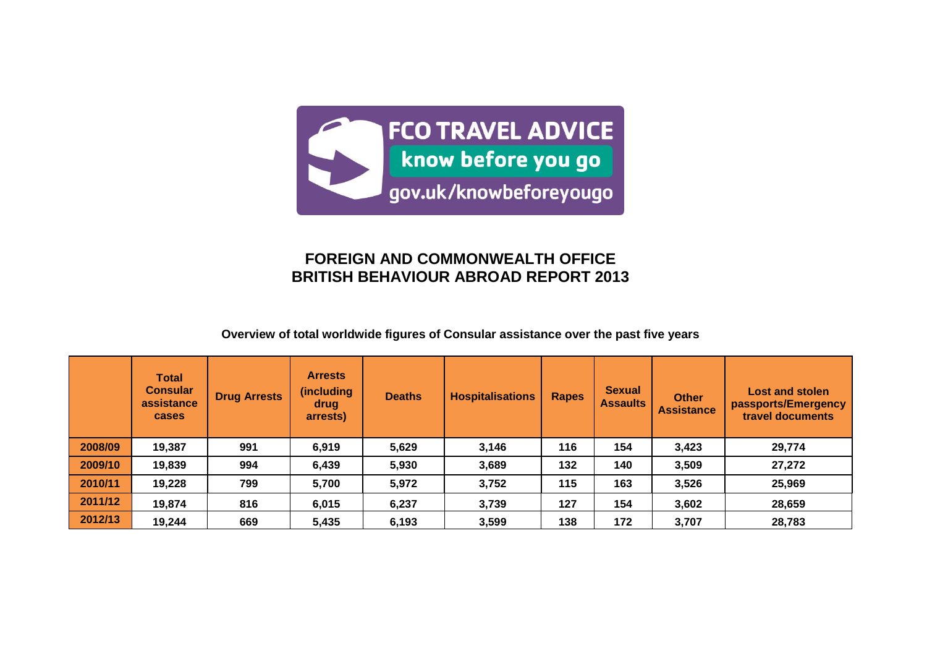

# **FOREIGN AND COMMONWEALTH OFFICE BRITISH BEHAVIOUR ABROAD REPORT 2013**

# **Overview of total worldwide figures of Consular assistance over the past five years**

|         | <b>Total</b><br><b>Consular</b><br>assistance<br><b>cases</b> | <b>Drug Arrests</b> | <b>Arrests</b><br><i>(including)</i><br>drug<br>arrests) | <b>Deaths</b> | <b>Hospitalisations</b> | <b>Rapes</b> | <b>Sexual</b><br><b>Assaults</b> | <b>Other</b><br><b>Assistance</b> | <b>Lost and stolen</b><br>passports/Emergency<br>travel documents |
|---------|---------------------------------------------------------------|---------------------|----------------------------------------------------------|---------------|-------------------------|--------------|----------------------------------|-----------------------------------|-------------------------------------------------------------------|
| 2008/09 | 19,387                                                        | 991                 | 6,919                                                    | 5,629         | 3,146                   | 116          | 154                              | 3,423                             | 29,774                                                            |
| 2009/10 | 19,839                                                        | 994                 | 6,439                                                    | 5,930         | 3,689                   | 132          | 140                              | 3,509                             | 27,272                                                            |
| 2010/11 | 19,228                                                        | 799                 | 5,700                                                    | 5,972         | 3,752                   | 115          | 163                              | 3,526                             | 25,969                                                            |
| 2011/12 | 19,874                                                        | 816                 | 6,015                                                    | 6,237         | 3,739                   | 127          | 154                              | 3,602                             | 28,659                                                            |
| 2012/13 | 19,244                                                        | 669                 | 5,435                                                    | 6,193         | 3,599                   | 138          | 172                              | 3,707                             | 28,783                                                            |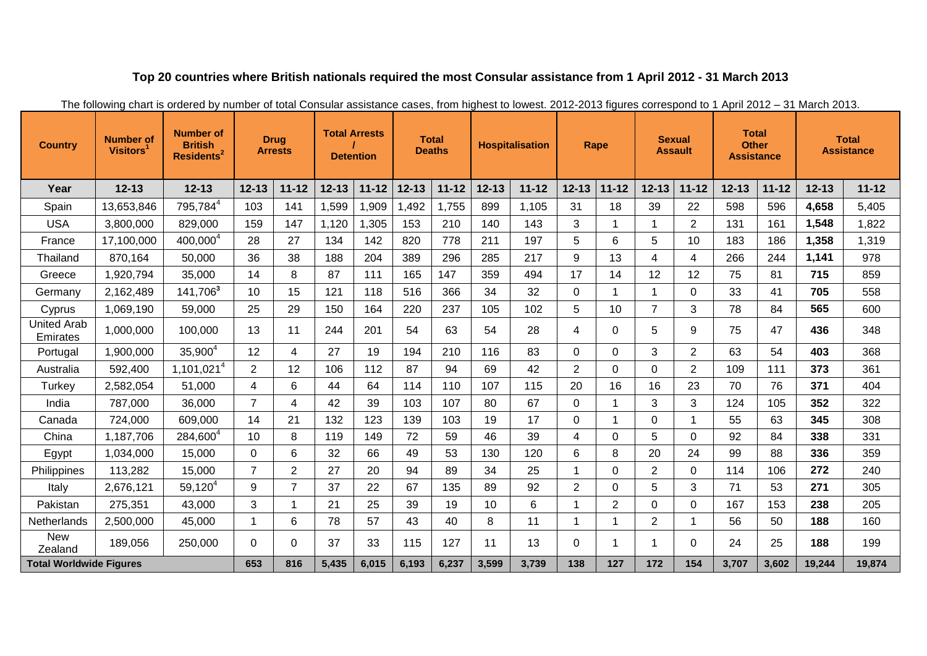# **Top 20 countries where British nationals required the most Consular assistance from 1 April 2012 - 31 March 2013**

| <b>Country</b>                 | <b>Number of</b><br><b>Visitors</b> | <b>Number of</b><br><b>British</b><br>Residents <sup>2</sup> |                | <b>Drug</b><br><b>Arrests</b> | <b>Total Arrests</b> | <b>Detention</b> |           | <b>Total</b><br><b>Deaths</b> |           | <b>Hospitalisation</b> | Rape           |                | <b>Sexual</b><br><b>Assault</b> |                | <b>Total</b><br><b>Other</b><br><b>Assistance</b> |           |           | <b>Total</b><br><b>Assistance</b> |
|--------------------------------|-------------------------------------|--------------------------------------------------------------|----------------|-------------------------------|----------------------|------------------|-----------|-------------------------------|-----------|------------------------|----------------|----------------|---------------------------------|----------------|---------------------------------------------------|-----------|-----------|-----------------------------------|
| Year                           | $12 - 13$                           | $12 - 13$                                                    | $12 - 13$      | $11 - 12$                     | $12 - 13$            | $11 - 12$        | $12 - 13$ | $11 - 12$                     | $12 - 13$ | $11 - 12$              | $12 - 13$      | $11 - 12$      | $12 - 13$                       | $11 - 12$      | $12 - 13$                                         | $11 - 12$ | $12 - 13$ | $11 - 12$                         |
| Spain                          | 13,653,846                          | 795,784 <sup>4</sup>                                         | 103            | 141                           | 1,599                | 1,909            | ,492      | 1,755                         | 899       | 1,105                  | 31             | 18             | 39                              | 22             | 598                                               | 596       | 4,658     | 5,405                             |
| <b>USA</b>                     | 3,800,000                           | 829,000                                                      | 159            | 147                           | 1,120                | 1,305            | 153       | 210                           | 140       | 143                    | 3              | 1              | -1                              | $\overline{2}$ | 131                                               | 161       | 1,548     | 1,822                             |
| France                         | 17,100,000                          | 400,000 <sup>4</sup>                                         | 28             | 27                            | 134                  | 142              | 820       | 778                           | 211       | 197                    | 5              | 6              | 5                               | 10             | 183                                               | 186       | 1,358     | 1,319                             |
| Thailand                       | 870,164                             | 50,000                                                       | 36             | 38                            | 188                  | 204              | 389       | 296                           | 285       | 217                    | 9              | 13             | 4                               | 4              | 266                                               | 244       | 1,141     | 978                               |
| Greece                         | 1,920,794                           | 35,000                                                       | 14             | 8                             | 87                   | 111              | 165       | 147                           | 359       | 494                    | 17             | 14             | 12                              | 12             | 75                                                | 81        | 715       | 859                               |
| Germany                        | 2,162,489                           | 141,706 <sup>3</sup>                                         | 10             | 15                            | 121                  | 118              | 516       | 366                           | 34        | 32                     | $\mathbf 0$    | $\mathbf 1$    | 1                               | 0              | 33                                                | 41        | 705       | 558                               |
| Cyprus                         | 1,069,190                           | 59,000                                                       | 25             | 29                            | 150                  | 164              | 220       | 237                           | 105       | 102                    | 5              | 10             | $\overline{7}$                  | 3              | 78                                                | 84        | 565       | 600                               |
| <b>United Arab</b><br>Emirates | 1,000,000                           | 100,000                                                      | 13             | 11                            | 244                  | 201              | 54        | 63                            | 54        | 28                     | 4              | 0              | 5                               | 9              | 75                                                | 47        | 436       | 348                               |
| Portugal                       | 1,900,000                           | $35,900^4$                                                   | 12             | 4                             | 27                   | 19               | 194       | 210                           | 116       | 83                     | $\Omega$       | 0              | 3                               | $\overline{2}$ | 63                                                | 54        | 403       | 368                               |
| Australia                      | 592,400                             | 1,101,021 <sup>4</sup>                                       | 2              | 12                            | 106                  | 112              | 87        | 94                            | 69        | 42                     | $\overline{2}$ | 0              | 0                               | $\overline{2}$ | 109                                               | 111       | 373       | 361                               |
| Turkey                         | 2,582,054                           | 51,000                                                       | 4              | 6                             | 44                   | 64               | 114       | 110                           | 107       | 115                    | 20             | 16             | 16                              | 23             | 70                                                | 76        | 371       | 404                               |
| India                          | 787,000                             | 36,000                                                       | $\overline{7}$ | 4                             | 42                   | 39               | 103       | 107                           | 80        | 67                     | $\overline{0}$ | 1              | 3                               | 3              | 124                                               | 105       | 352       | 322                               |
| Canada                         | 724,000                             | 609,000                                                      | 14             | 21                            | 132                  | 123              | 139       | 103                           | 19        | 17                     | $\overline{0}$ | $\mathbf 1$    | $\Omega$                        |                | 55                                                | 63        | 345       | 308                               |
| China                          | 1,187,706                           | 284,600 <sup>4</sup>                                         | 10             | 8                             | 119                  | 149              | 72        | 59                            | 46        | 39                     | 4              | $\Omega$       | 5                               | 0              | 92                                                | 84        | 338       | 331                               |
| Egypt                          | 1,034,000                           | 15,000                                                       | 0              | 6                             | 32                   | 66               | 49        | 53                            | 130       | 120                    | 6              | 8              | 20                              | 24             | 99                                                | 88        | 336       | 359                               |
| Philippines                    | 113,282                             | 15,000                                                       | $\overline{7}$ | $\overline{2}$                | 27                   | 20               | 94        | 89                            | 34        | 25                     | $\mathbf{1}$   | 0              | $\overline{2}$                  | 0              | 114                                               | 106       | 272       | 240                               |
| Italy                          | 2,676,121                           | $59,120^{4}$                                                 | 9              | $\overline{7}$                | 37                   | 22               | 67        | 135                           | 89        | 92                     | $\overline{2}$ | 0              | 5                               | 3              | 71                                                | 53        | 271       | 305                               |
| Pakistan                       | 275,351                             | 43,000                                                       | 3              |                               | 21                   | 25               | 39        | 19                            | 10        | 6                      | $\mathbf{1}$   | $\overline{2}$ | $\Omega$                        | 0              | 167                                               | 153       | 238       | 205                               |
| Netherlands                    | 2,500,000                           | 45,000                                                       | -1             | 6                             | 78                   | 57               | 43        | 40                            | 8         | 11                     | $\mathbf 1$    | 1              | $\overline{2}$                  | 1              | 56                                                | 50        | 188       | 160                               |
| <b>New</b><br>Zealand          | 189,056                             | 250,000                                                      | $\Omega$       | $\Omega$                      | 37                   | 33               | 115       | 127                           | 11        | 13                     | $\Omega$       | 1              | -1                              | 0              | 24                                                | 25        | 188       | 199                               |
| <b>Total Worldwide Figures</b> |                                     |                                                              | 653            | 816                           | 5,435                | 6,015            | 6,193     | 6,237                         | 3,599     | 3,739                  | 138            | 127            | 172                             | 154            | 3,707                                             | 3,602     | 19,244    | 19,874                            |

The following chart is ordered by number of total Consular assistance cases, from highest to lowest. 2012-2013 figures correspond to 1 April 2012 – 31 March 2013.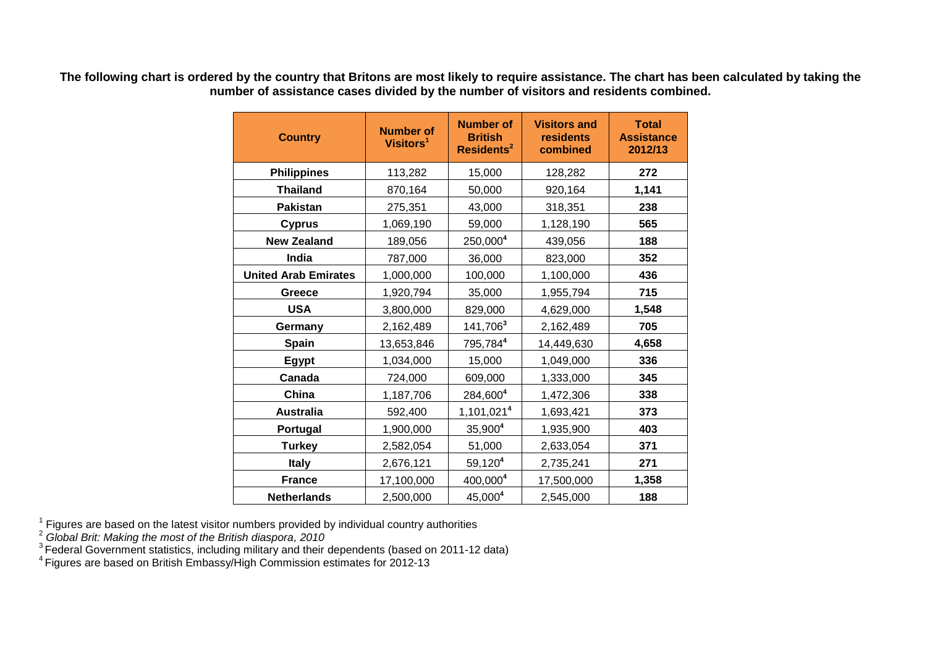| <b>Country</b>              | <b>Number of</b><br>Visitors <sup>1</sup> | <b>Number of</b><br><b>British</b><br>Residents <sup>2</sup> | <b>Visitors and</b><br>residents<br>combined | <b>Total</b><br><b>Assistance</b><br>2012/13 |  |  |
|-----------------------------|-------------------------------------------|--------------------------------------------------------------|----------------------------------------------|----------------------------------------------|--|--|
| <b>Philippines</b>          | 113,282                                   | 15,000                                                       | 128,282                                      | 272                                          |  |  |
| <b>Thailand</b>             | 870,164                                   | 50,000                                                       | 920,164                                      | 1,141                                        |  |  |
| <b>Pakistan</b>             | 275,351                                   | 43,000                                                       | 318,351                                      | 238                                          |  |  |
| <b>Cyprus</b>               | 1,069,190                                 | 59,000                                                       | 1,128,190                                    | 565                                          |  |  |
| <b>New Zealand</b>          | 189,056                                   | $250,000^4$                                                  | 439,056                                      | 188                                          |  |  |
| India                       | 787,000                                   | 36,000                                                       | 823,000                                      | 352                                          |  |  |
| <b>United Arab Emirates</b> | 1,000,000                                 | 100,000                                                      | 1,100,000                                    | 436                                          |  |  |
| Greece                      | 1,920,794                                 | 35,000                                                       | 1,955,794                                    | 715                                          |  |  |
| <b>USA</b>                  | 3,800,000                                 | 829,000                                                      | 4,629,000                                    | 1,548                                        |  |  |
| Germany                     | 2,162,489                                 | 141,706 <sup>3</sup>                                         | 2,162,489                                    | 705                                          |  |  |
| <b>Spain</b>                | 13,653,846                                | 795,7844                                                     | 14,449,630                                   | 4,658                                        |  |  |
| <b>Egypt</b>                | 1,034,000                                 | 15,000                                                       | 1,049,000                                    | 336                                          |  |  |
| Canada                      | 724,000                                   | 609,000                                                      | 1,333,000                                    | 345                                          |  |  |
| China                       | 1,187,706                                 | 284,6004                                                     | 1,472,306                                    | 338                                          |  |  |
| <b>Australia</b>            | 592,400                                   | 1,101,021 <sup>4</sup>                                       | 1,693,421                                    | 373                                          |  |  |
| Portugal                    | 1,900,000                                 | 35,900 <sup>4</sup>                                          | 1,935,900                                    | 403                                          |  |  |
| <b>Turkey</b>               | 2,582,054                                 | 51,000                                                       | 2,633,054                                    | 371                                          |  |  |
| <b>Italy</b>                | 2,676,121                                 | $59,120^4$                                                   | 2,735,241                                    | 271                                          |  |  |
| <b>France</b>               | 17,100,000                                | 400,0004                                                     | 17,500,000                                   | 1,358                                        |  |  |
| <b>Netherlands</b>          | 2,500,000                                 | 45,0004                                                      | 2,545,000                                    | 188                                          |  |  |

**The following chart is ordered by the country that Britons are most likely to require assistance. The chart has been calculated by taking the number of assistance cases divided by the number of visitors and residents combined.**

 $1$  Figures are based on the latest visitor numbers provided by individual country authorities

<sup>2</sup> *Global Brit: Making the most of the British diaspora, 2010*

 $3$  Federal Government statistics, including military and their dependents (based on 2011-12 data)

 $4$  Figures are based on British Embassy/High Commission estimates for 2012-13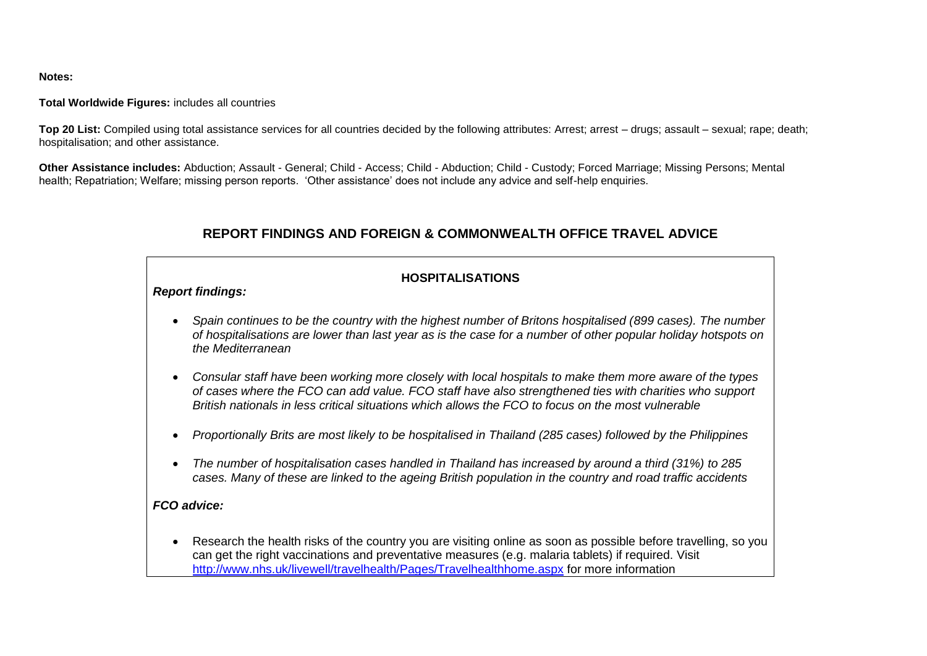**Notes:**

#### **Total Worldwide Figures:** includes all countries

**Top 20 List:** Compiled using total assistance services for all countries decided by the following attributes: Arrest; arrest – drugs; assault – sexual; rape; death; hospitalisation; and other assistance.

**Other Assistance includes:** Abduction; Assault - General; Child - Access; Child - Abduction; Child - Custody; Forced Marriage; Missing Persons; Mental health; Repatriation; Welfare; missing person reports. 'Other assistance' does not include any advice and self-help enquiries.

# **REPORT FINDINGS AND FOREIGN & COMMONWEALTH OFFICE TRAVEL ADVICE**

# **HOSPITALISATIONS**

#### *Report findings:*

- *Spain continues to be the country with the highest number of Britons hospitalised (899 cases). The number of hospitalisations are lower than last year as is the case for a number of other popular holiday hotspots on the Mediterranean*
- *Consular staff have been working more closely with local hospitals to make them more aware of the types of cases where the FCO can add value. FCO staff have also strengthened ties with charities who support British nationals in less critical situations which allows the FCO to focus on the most vulnerable*
- *Proportionally Brits are most likely to be hospitalised in Thailand (285 cases) followed by the Philippines*
- *The number of hospitalisation cases handled in Thailand has increased by around a third (31%) to 285 cases. Many of these are linked to the ageing British population in the country and road traffic accidents*

### *FCO advice:*

 Research the health risks of the country you are visiting online as soon as possible before travelling, so you can get the right vaccinations and preventative measures (e.g. malaria tablets) if required. Visit <http://www.nhs.uk/livewell/travelhealth/Pages/Travelhealthhome.aspx> for more information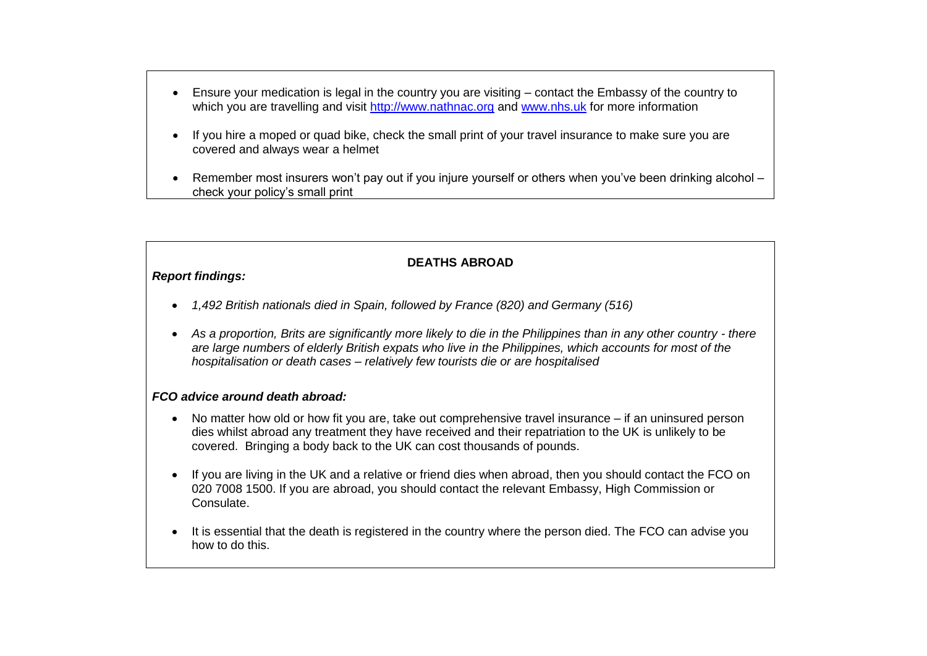- Ensure your medication is legal in the country you are visiting contact the Embassy of the country to which you are travelling and visit [http://www.nathnac.org](http://www.nathnac.org/travel/index.htm) and [www.nhs.uk](http://www.nhs.uk/) for more information
- If you hire a moped or quad bike, check the small print of your travel insurance to make sure you are covered and always wear a helmet
- Remember most insurers won't pay out if you injure yourself or others when you've been drinking alcohol check your policy's small print

### **DEATHS ABROAD**

#### *Report findings:*

- *1,492 British nationals died in Spain, followed by France (820) and Germany (516)*
- *As a proportion, Brits are significantly more likely to die in the Philippines than in any other country - there are large numbers of elderly British expats who live in the Philippines, which accounts for most of the hospitalisation or death cases – relatively few tourists die or are hospitalised*

#### *FCO advice around death abroad:*

- No matter how old or how fit you are, take out comprehensive travel insurance if an uninsured person dies whilst abroad any treatment they have received and their repatriation to the UK is unlikely to be covered. Bringing a body back to the UK can cost thousands of pounds.
- If you are living in the UK and a relative or friend dies when abroad, then you should contact the FCO on 020 7008 1500. If you are abroad, you should contact the relevant Embassy, High Commission or Consulate.
- It is essential that the death is registered in the country where the person died. The FCO can advise you how to do this.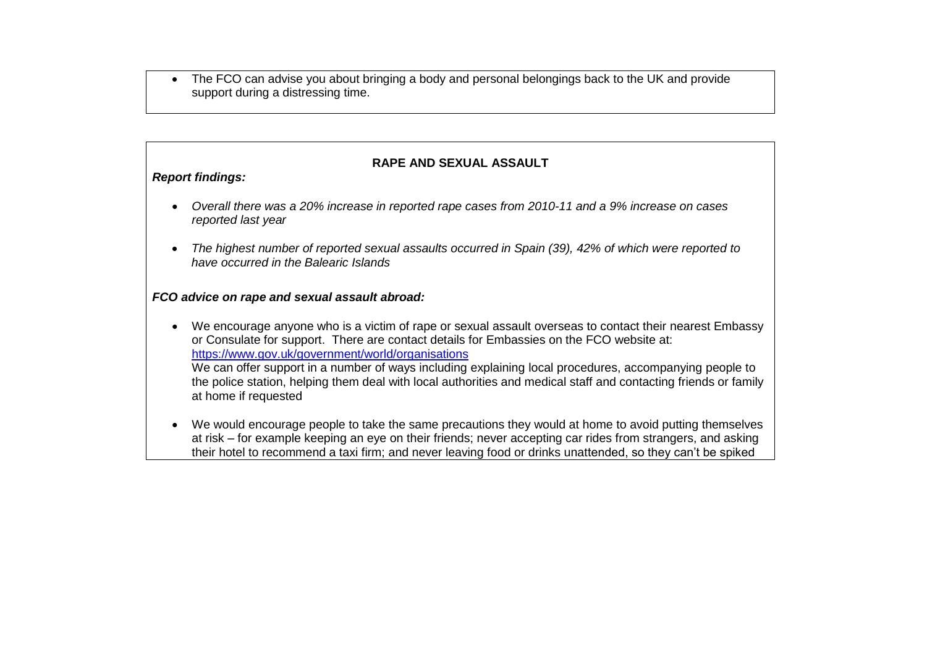• The FCO can advise you about bringing a body and personal belongings back to the UK and provide support during a distressing time.

### **RAPE AND SEXUAL ASSAULT**

#### *Report findings:*

- *Overall there was a 20% increase in reported rape cases from 2010-11 and a 9% increase on cases reported last year*
- *The highest number of reported sexual assaults occurred in Spain (39), 42% of which were reported to have occurred in the Balearic Islands*

#### *FCO advice on rape and sexual assault abroad:*

- We encourage anyone who is a victim of rape or sexual assault overseas to contact their nearest Embassy or Consulate for support. There are contact details for Embassies on the FCO website at: <https://www.gov.uk/government/world/organisations> We can offer support in a number of ways including explaining local procedures, accompanying people to the police station, helping them deal with local authorities and medical staff and contacting friends or family at home if requested
- We would encourage people to take the same precautions they would at home to avoid putting themselves at risk – for example keeping an eye on their friends; never accepting car rides from strangers, and asking their hotel to recommend a taxi firm; and never leaving food or drinks unattended, so they can't be spiked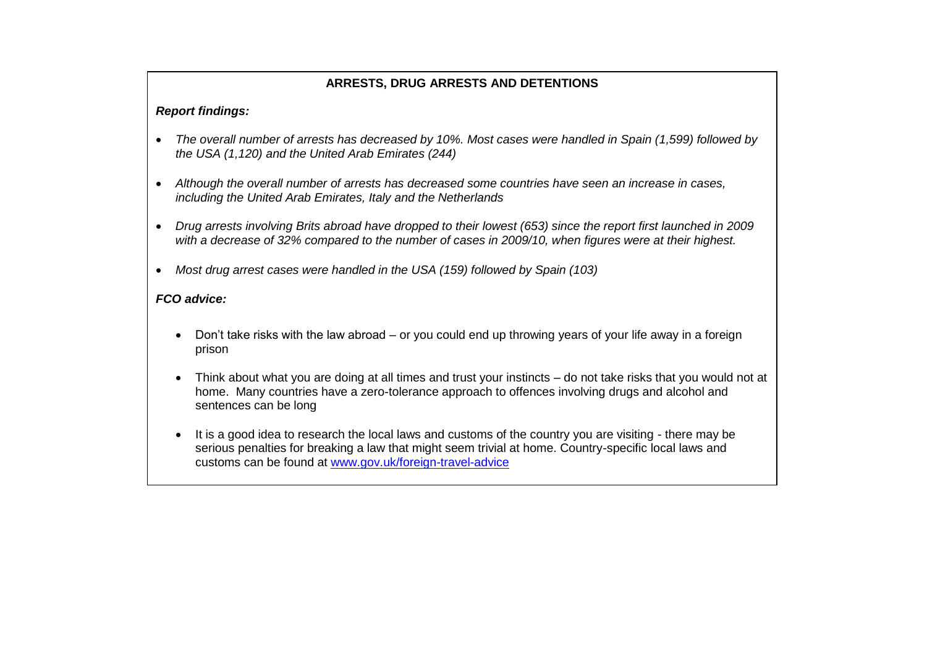# **ARRESTS, DRUG ARRESTS AND DETENTIONS**

### *Report findings:*

- *The overall number of arrests has decreased by 10%. Most cases were handled in Spain (1,599) followed by the USA (1,120) and the United Arab Emirates (244)*
- *Although the overall number of arrests has decreased some countries have seen an increase in cases, including the United Arab Emirates, Italy and the Netherlands*
- *Drug arrests involving Brits abroad have dropped to their lowest (653) since the report first launched in 2009 with a decrease of 32% compared to the number of cases in 2009/10, when figures were at their highest.*
- *Most drug arrest cases were handled in the USA (159) followed by Spain (103)*

# *FCO advice:*

- Don't take risks with the law abroad or you could end up throwing years of your life away in a foreign prison
- Think about what you are doing at all times and trust your instincts do not take risks that you would not at home. Many countries have a zero-tolerance approach to offences involving drugs and alcohol and sentences can be long
- It is a good idea to research the local laws and customs of the country you are visiting there may be serious penalties for breaking a law that might seem trivial at home. Country-specific local laws and customs can be found at [www.gov.uk/foreign-travel-advice](http://www.gov.uk/foreign-travel-advice)